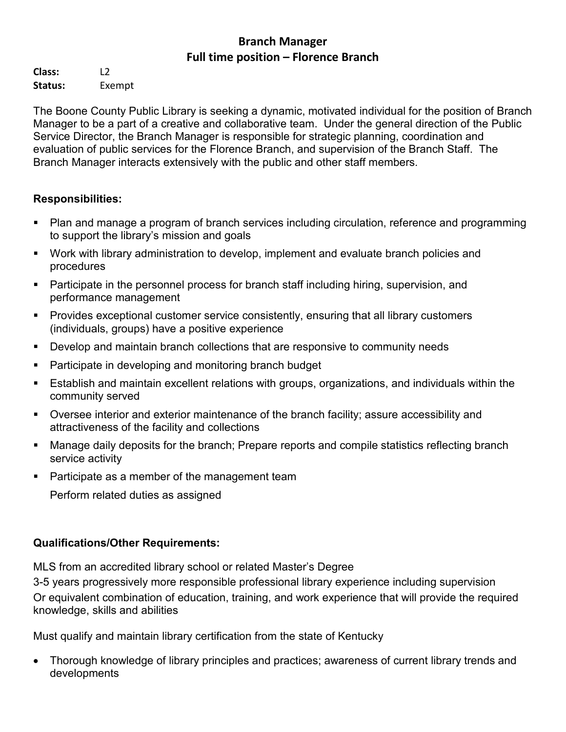### **Branch Manager Full time position – Florence Branch**

**Class:** L2 **Status:** Exempt

The Boone County Public Library is seeking a dynamic, motivated individual for the position of Branch Manager to be a part of a creative and collaborative team. Under the general direction of the Public Service Director, the Branch Manager is responsible for strategic planning, coordination and evaluation of public services for the Florence Branch, and supervision of the Branch Staff. The Branch Manager interacts extensively with the public and other staff members.

# **Responsibilities:**

- Plan and manage a program of branch services including circulation, reference and programming to support the library's mission and goals
- Work with library administration to develop, implement and evaluate branch policies and procedures
- Participate in the personnel process for branch staff including hiring, supervision, and performance management
- **Provides exceptional customer service consistently, ensuring that all library customers** (individuals, groups) have a positive experience
- Develop and maintain branch collections that are responsive to community needs
- **Participate in developing and monitoring branch budget**
- Establish and maintain excellent relations with groups, organizations, and individuals within the community served
- Oversee interior and exterior maintenance of the branch facility; assure accessibility and attractiveness of the facility and collections
- Manage daily deposits for the branch; Prepare reports and compile statistics reflecting branch service activity
- **Participate as a member of the management team**

Perform related duties as assigned

# **Qualifications/Other Requirements:**

MLS from an accredited library school or related Master's Degree

3-5 years progressively more responsible professional library experience including supervision Or equivalent combination of education, training, and work experience that will provide the required knowledge, skills and abilities

Must qualify and maintain library certification from the state of Kentucky

• Thorough knowledge of library principles and practices; awareness of current library trends and developments